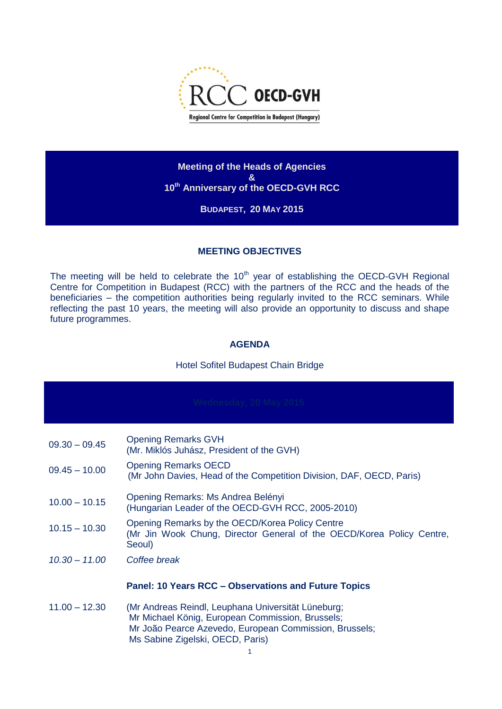

**Meeting of the Heads of Agencies & 10th Anniversary of the OECD-GVH RCC**

# **BUDAPEST, 20 MAY 2015**

#### **MEETING OBJECTIVES**

The meeting will be held to celebrate the 10<sup>th</sup> year of establishing the OECD-GVH Regional Centre for Competition in Budapest (RCC) with the partners of the RCC and the heads of the beneficiaries – the competition authorities being regularly invited to the RCC seminars. While reflecting the past 10 years, the meeting will also provide an opportunity to discuss and shape future programmes.

## **AGENDA**

## Hotel Sofitel Budapest Chain Bridge

| $09.30 - 09.45$ | <b>Opening Remarks GVH</b><br>(Mr. Miklós Juhász, President of the GVH)                                                                                                                              |
|-----------------|------------------------------------------------------------------------------------------------------------------------------------------------------------------------------------------------------|
| $09.45 - 10.00$ | <b>Opening Remarks OECD</b><br>(Mr John Davies, Head of the Competition Division, DAF, OECD, Paris)                                                                                                  |
| $10.00 - 10.15$ | Opening Remarks: Ms Andrea Belényi<br>(Hungarian Leader of the OECD-GVH RCC, 2005-2010)                                                                                                              |
| $10.15 - 10.30$ | Opening Remarks by the OECD/Korea Policy Centre<br>(Mr Jin Wook Chung, Director General of the OECD/Korea Policy Centre,<br>Seoul)                                                                   |
| $10.30 - 11.00$ | Coffee break                                                                                                                                                                                         |
|                 | <b>Panel: 10 Years RCC – Observations and Future Topics</b>                                                                                                                                          |
| $11.00 - 12.30$ | (Mr Andreas Reindl, Leuphana Universität Lüneburg;<br>Mr Michael König, European Commission, Brussels;<br>Mr João Pearce Azevedo, European Commission, Brussels;<br>Ms Sabine Zigelski, OECD, Paris) |